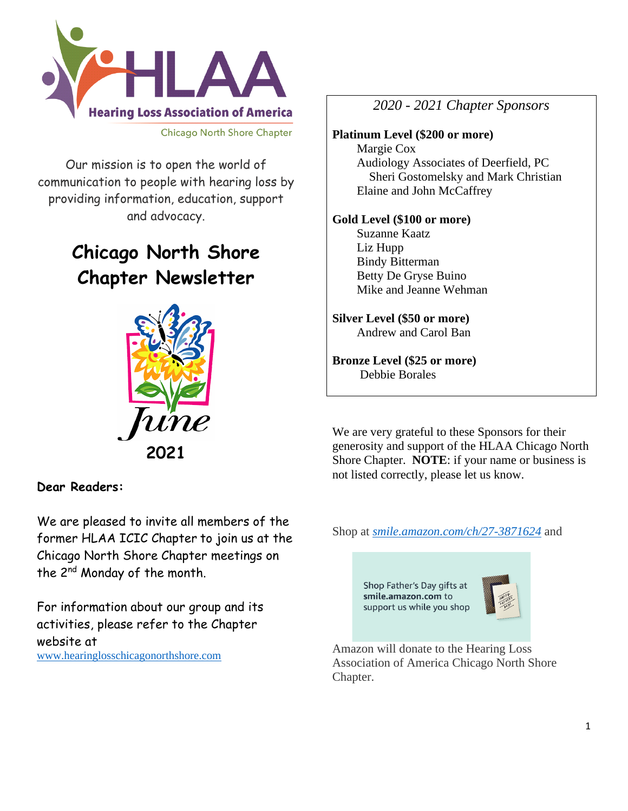

**Chicago North Shore Chapter** 

Our mission is to open the world of communication to people with hearing loss by providing information, education, support and advocacy.

# **Chicago North Shore Chapter Newsletter**



## **Dear Readers:**

We are pleased to invite all members of the former HLAA ICIC Chapter to join us at the Chicago North Shore Chapter meetings on the 2nd Monday of the month.

For information about our group and its activities, please refer to the Chapter website at [www.hearinglosschicagonorthshore.com](http://www.hearinglosschicagonorthshore.com/)

*2020 - 2021 Chapter Sponsors*

#### **Platinum Level (\$200 or more)** Margie Cox Audiology Associates of Deerfield, PC Sheri Gostomelsky and Mark Christian Elaine and John McCaffrey

#### **Gold Level (\$100 or more)**

 Suzanne Kaatz Liz Hupp Bindy Bitterman Betty De Gryse Buino Mike and Jeanne Wehman

#### **Silver Level (\$50 or more)** Andrew and Carol Ban

**Bronze Level (\$25 or more)** Debbie Borales

We are very grateful to these Sponsors for their generosity and support of the HLAA Chicago North Shore Chapter. **NOTE**: if your name or business is not listed correctly, please let us know.

Shop at *[smile.amazon.com/ch/27-3871624](https://smile.amazon.com/gp/f.html?C=1ISN78MKH9BO5&K=335GHMLLUNWPP&M=urn:rtn:msg:201711261709243e998692f70f4f958c3b0d8c4fc0p0na&R=2QXN90TCYDI2Y&T=C&U=http%3A%2F%2Fsmile.amazon.com%2Fch%2F27-3871624&H=TGCVNDHNIX5ZIRJTWBNLXG15NMOA)* and

Shop Father's Day gifts at smile.amazon.com to support us while you shop



Amazon will donate to the Hearing Loss Association of America Chicago North Shore Chapter.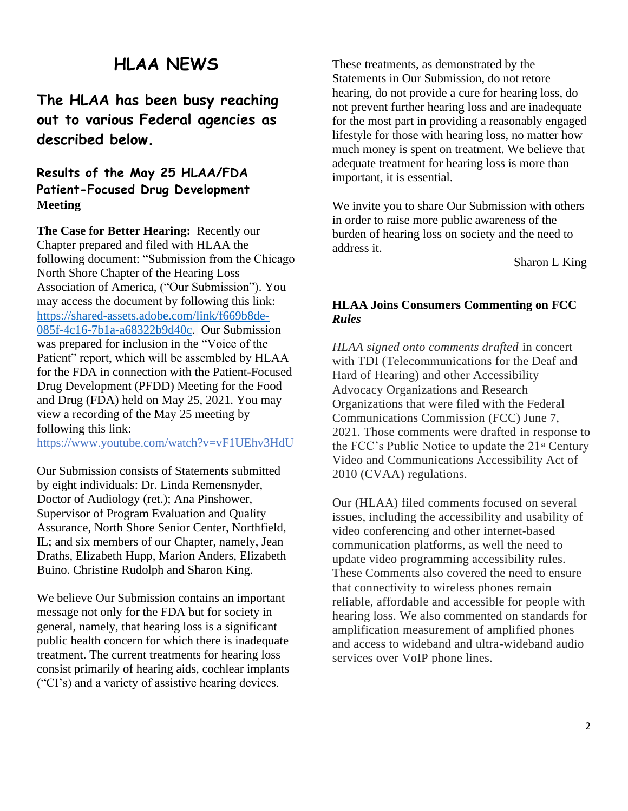# **HLAA NEWS**

# **The HLAA has been busy reaching out to various Federal agencies as described below.**

### **Results of the May 25 HLAA/FDA Patient-Focused Drug Development Meeting**

**The Case for Better Hearing:** Recently our Chapter prepared and filed with HLAA the following document: "Submission from the Chicago North Shore Chapter of the Hearing Loss Association of America, ("Our Submission"). You may access the document by following this link: [https://shared-assets.adobe.com/link/f669b8de-](https://shared-assets.adobe.com/link/f669b8de-085f-4c16-7b1a-a68322b9d40c)[085f-4c16-7b1a-a68322b9d40c.](https://shared-assets.adobe.com/link/f669b8de-085f-4c16-7b1a-a68322b9d40c) Our Submission was prepared for inclusion in the "Voice of the Patient" report, which will be assembled by HLAA for the FDA in connection with the Patient-Focused Drug Development (PFDD) Meeting for the Food and Drug (FDA) held on May 25, 2021. You may view a recording of the May 25 meeting by following this link:

https://www.youtube.com/watch?v=vF1UEhv3HdU

Our Submission consists of Statements submitted by eight individuals: Dr. Linda Remensnyder, Doctor of Audiology (ret.); Ana Pinshower, Supervisor of Program Evaluation and Quality Assurance, North Shore Senior Center, Northfield, IL; and six members of our Chapter, namely, Jean Draths, Elizabeth Hupp, Marion Anders, Elizabeth Buino. Christine Rudolph and Sharon King.

We believe Our Submission contains an important message not only for the FDA but for society in general, namely, that hearing loss is a significant public health concern for which there is inadequate treatment. The current treatments for hearing loss consist primarily of hearing aids, cochlear implants ("CI's) and a variety of assistive hearing devices.

These treatments, as demonstrated by the Statements in Our Submission, do not retore hearing, do not provide a cure for hearing loss, do not prevent further hearing loss and are inadequate for the most part in providing a reasonably engaged lifestyle for those with hearing loss, no matter how much money is spent on treatment. We believe that adequate treatment for hearing loss is more than important, it is essential.

We invite you to share Our Submission with others in order to raise more public awareness of the burden of hearing loss on society and the need to address it.

Sharon L King

#### **HLAA Joins Consumers Commenting on FCC**  *Rules*

*HLAA signed onto comments drafted* in concert with TDI (Telecommunications for the Deaf and Hard of Hearing) and other Accessibility Advocacy Organizations and Research Organizations that were filed with the Federal Communications Commission (FCC) June 7, 2021. Those comments were drafted in response to the FCC's Public Notice to update the  $21$ <sup>st</sup> Century Video and Communications Accessibility Act of 2010 (CVAA) regulations.

Our (HLAA) filed comments focused on several issues, including the accessibility and usability of video conferencing and other internet-based communication platforms, as well the need to update video programming accessibility rules. These Comments also covered the need to ensure that connectivity to wireless phones remain reliable, affordable and accessible for people with hearing loss. We also commented on standards for amplification measurement of amplified phones and access to wideband and ultra-wideband audio services over VoIP phone lines.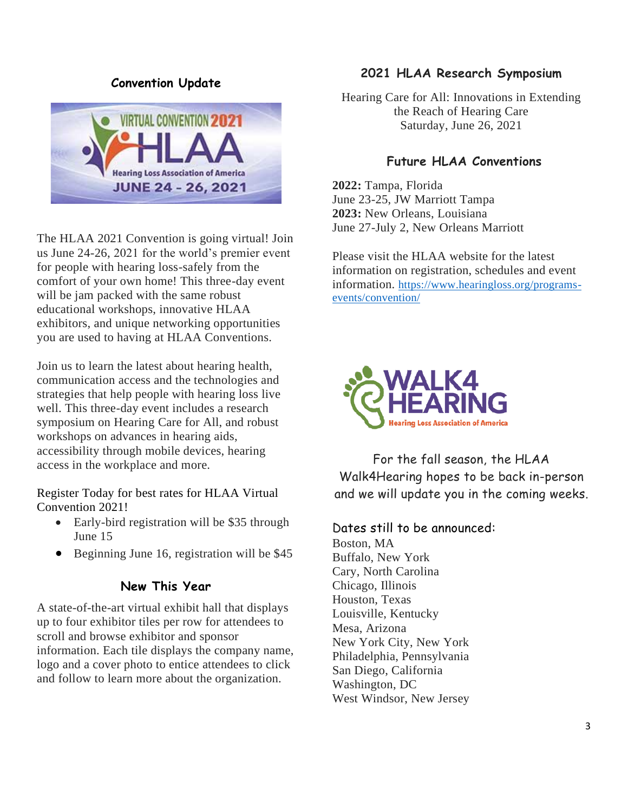### **Convention Update**



The HLAA 2021 Convention is going virtual! Join us June 24-26, 2021 for the world's premier event for people with hearing loss-safely from the comfort of your own home! This three-day event will be jam packed with the same robust educational workshops, innovative HLAA exhibitors, and unique networking opportunities you are used to having at HLAA Conventions.

Join us to learn the latest about hearing health, communication access and the technologies and strategies that help people with hearing loss live well. This three-day event includes a research symposium on Hearing Care for All, and robust workshops on advances in hearing aids, accessibility through mobile devices, hearing access in the workplace and more.

Register Today for best rates for HLAA Virtual Convention 2021!

- Early-bird registration will be \$35 through June 15
- Beginning June 16, registration will be \$45

### **New This Year**

A state-of-the-art virtual exhibit hall that displays up to four exhibitor tiles per row for attendees to scroll and browse exhibitor and sponsor information. Each tile displays the company name, logo and a cover photo to entice attendees to click and follow to learn more about the organization.

### **2021 HLAA Research Symposium**

Hearing Care for All: Innovations in Extending the Reach of Hearing Care Saturday, June 26, 2021

### **Future HLAA Conventions**

**2022:** Tampa, Florida June 23-25, JW Marriott Tampa **2023:** New Orleans, Louisiana June 27-July 2, New Orleans Marriott

Please visit the HLAA website for the latest information on registration, schedules and event information. [https://www.hearingloss.org/programs](https://www.hearingloss.org/programs-events/convention/)[events/convention/](https://www.hearingloss.org/programs-events/convention/)



For the fall season, the HLAA Walk4Hearing hopes to be back in-person and we will update you in the coming weeks.

#### Dates still to be announced:

Boston, MA Buffalo, New York Cary, North Carolina Chicago, Illinois Houston, Texas Louisville, Kentucky Mesa, Arizona New York City, New York Philadelphia, Pennsylvania San Diego, California Washington, DC West Windsor, New Jersey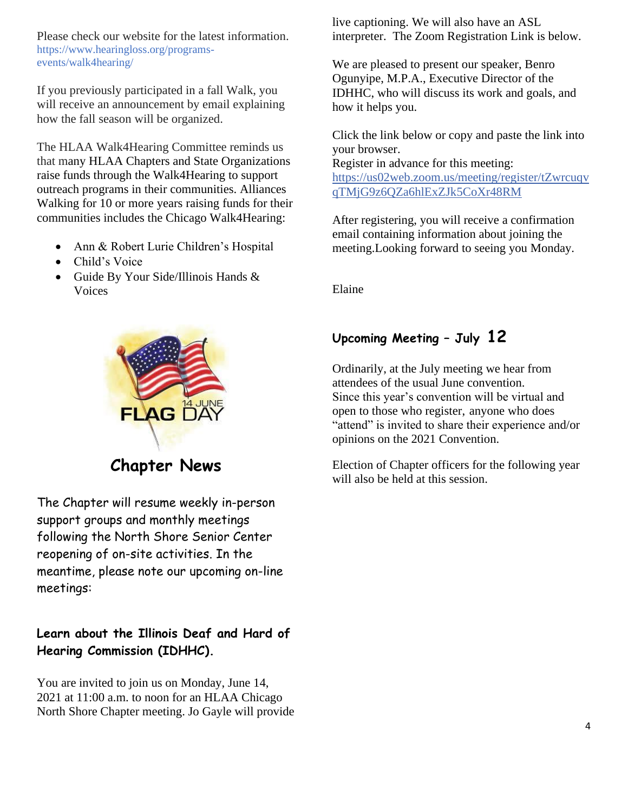Please check our website for the latest information. https://www.hearingloss.org/programsevents/walk4hearing/

If you previously participated in a fall Walk, you will receive an announcement by email explaining how the fall season will be organized.

The HLAA Walk4Hearing Committee reminds us that many HLAA Chapters and State Organizations raise funds through the Walk4Hearing to support outreach programs in their communities. Alliances Walking for 10 or more years raising funds for their communities includes the Chicago Walk4Hearing:

- Ann & Robert Lurie Children's Hospital
- Child's Voice
- Guide By Your Side/Illinois Hands & Voices



**Chapter News**

The Chapter will resume weekly in-person support groups and monthly meetings following the North Shore Senior Center reopening of on-site activities. In the meantime, please note our upcoming on-line meetings:

# **Learn about the Illinois Deaf and Hard of Hearing Commission (IDHHC).**

You are invited to join us on Monday, June 14, 2021 at 11:00 a.m. to noon for an HLAA Chicago North Shore Chapter meeting. Jo Gayle will provide live captioning. We will also have an ASL interpreter. The Zoom Registration Link is below.

We are pleased to present our speaker, Benro Ogunyipe, M.P.A., Executive Director of the IDHHC, who will discuss its work and goals, and how it helps you.

Click the link below or copy and paste the link into your browser. Register in advance for this meeting: [https://us02web.zoom.us/meeting/register/tZwrcuqv](https://us02web.zoom.us/meeting/register/tZwrcuqvqTMjG9z6QZa6hlExZJk5CoXr48RM) [qTMjG9z6QZa6hlExZJk5CoXr48RM](https://us02web.zoom.us/meeting/register/tZwrcuqvqTMjG9z6QZa6hlExZJk5CoXr48RM)

After registering, you will receive a confirmation email containing information about joining the meeting.Looking forward to seeing you Monday.

Elaine

# **Upcoming Meeting – July 12**

Ordinarily, at the July meeting we hear from attendees of the usual June convention. Since this year's convention will be virtual and open to those who register, anyone who does "attend" is invited to share their experience and/or opinions on the 2021 Convention.

Election of Chapter officers for the following year will also be held at this session.